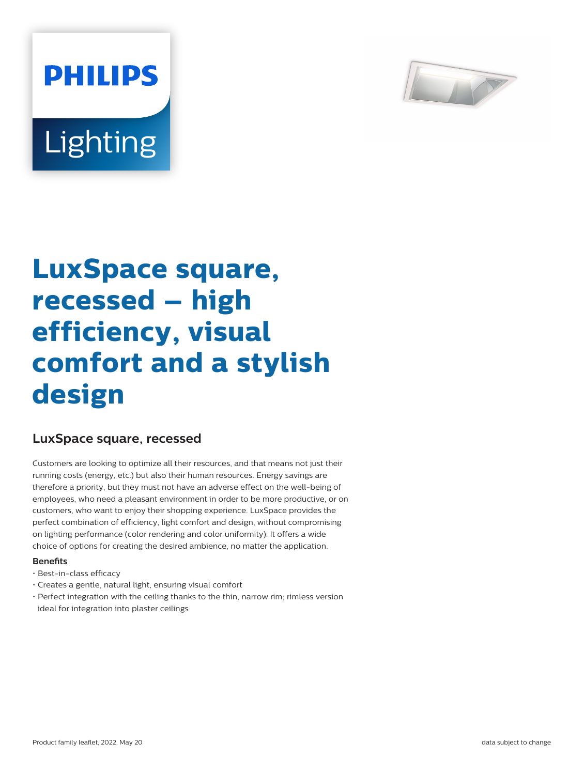

# **Lighting**

**PHILIPS** 

# **LuxSpace square, recessed – high efficiency, visual comfort and a stylish design**

## **LuxSpace square, recessed**

Customers are looking to optimize all their resources, and that means not just their running costs (energy, etc.) but also their human resources. Energy savings are therefore a priority, but they must not have an adverse effect on the well-being of employees, who need a pleasant environment in order to be more productive, or on customers, who want to enjoy their shopping experience. LuxSpace provides the perfect combination of efficiency, light comfort and design, without compromising on lighting performance (color rendering and color uniformity). It offers a wide choice of options for creating the desired ambience, no matter the application.

#### **Benefits**

- Best-in-class efficacy
- Creates a gentle, natural light, ensuring visual comfort
- Perfect integration with the ceiling thanks to the thin, narrow rim; rimless version ideal for integration into plaster ceilings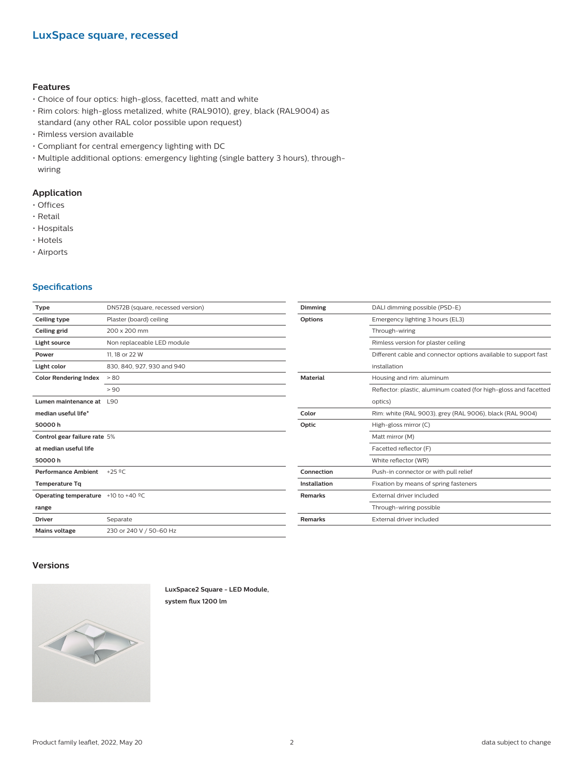#### **Features**

- Choice of four optics: high-gloss, facetted, matt and white
- Rim colors: high-gloss metalized, white (RAL9010), grey, black (RAL9004) as standard (any other RAL color possible upon request)
- Rimless version available
- Compliant for central emergency lighting with DC
- Multiple additional options: emergency lighting (single battery 3 hours), throughwiring

#### **Application**

- Offices
- Retail
- Hospitals
- Hotels
- Airports

#### **Specifications**

| Type                                                       | DN572B (square, recessed version) | Dimming             | DALI dimming possible (PSD-E)                                    |
|------------------------------------------------------------|-----------------------------------|---------------------|------------------------------------------------------------------|
| Ceiling type                                               | Plaster (board) ceiling           | Options             | Emergency lighting 3 hours (EL3)                                 |
| Ceiling grid                                               | 200 x 200 mm                      |                     | Through-wiring                                                   |
| Light source                                               | Non replaceable LED module        |                     | Rimless version for plaster ceiling                              |
| Power                                                      | 11, 18 or 22 W                    |                     | Different cable and connector options available to support fast  |
| Light color                                                | 830, 840, 927, 930 and 940        |                     | installation                                                     |
| <b>Color Rendering Index</b>                               | > 80                              | <b>Material</b>     | Housing and rim: aluminum                                        |
|                                                            | > 90                              |                     | Reflector: plastic, aluminum coated (for high-gloss and facetted |
| Lumen maintenance at                                       | L90                               |                     | optics)                                                          |
| median useful life*                                        |                                   | Color               | Rim: white (RAL 9003), grey (RAL 9006), black (RAL 9004)         |
| 50000h                                                     |                                   | Optic               | High-gloss mirror (C)                                            |
| Control gear failure rate 5%                               |                                   |                     | Matt mirror (M)                                                  |
| at median useful life                                      |                                   |                     | Facetted reflector (F)                                           |
| 50000h                                                     |                                   |                     | White reflector (WR)                                             |
| Performance Ambient +25 °C                                 |                                   | Connection          | Push-in connector or with pull relief                            |
| <b>Temperature Tg</b>                                      |                                   | <b>Installation</b> | Fixation by means of spring fasteners                            |
| <b>Operating temperature</b> $+10$ to $+40$ <sup>o</sup> C |                                   | <b>Remarks</b>      | External driver included                                         |
| range                                                      |                                   |                     | Through-wiring possible                                          |
| <b>Driver</b>                                              | Separate                          | <b>Remarks</b>      | External driver included                                         |
| <b>Mains voltage</b>                                       | 230 or 240 V / 50-60 Hz           |                     |                                                                  |
|                                                            |                                   |                     |                                                                  |

#### **Versions**



**LuxSpace2 Square - LED Module, system flux 1200 lm**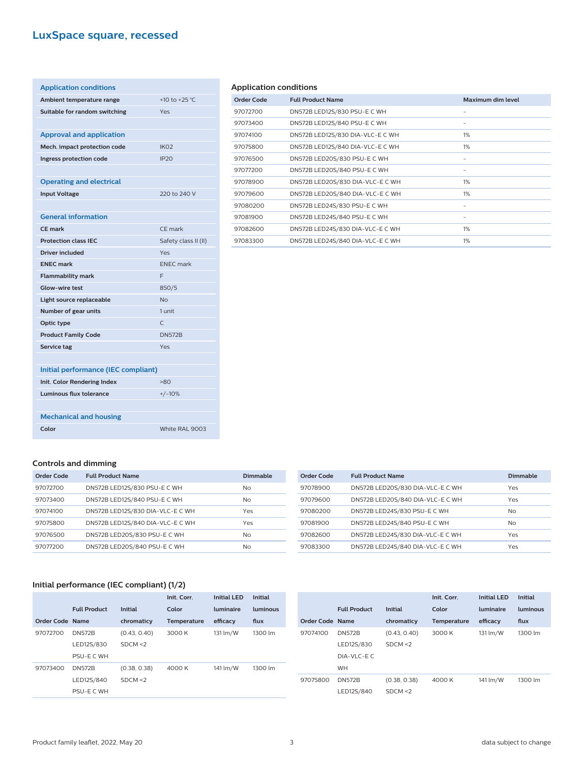# **LuxSpace square, recessed**

| <b>Application conditions</b>       |                      |
|-------------------------------------|----------------------|
| Ambient temperature range           | +10 to +25 °C        |
| Suitable for random switching       | Yes                  |
|                                     |                      |
| <b>Approval and application</b>     |                      |
| Mech. impact protection code        | IK <sub>O</sub> 2    |
| Ingress protection code             | <b>IP20</b>          |
|                                     |                      |
| <b>Operating and electrical</b>     |                      |
| <b>Input Voltage</b>                | 220 to 240 V         |
|                                     |                      |
| <b>General information</b>          |                      |
| CF mark                             | CF mark              |
| <b>Protection class IEC</b>         | Safety class II (II) |
| <b>Driver included</b>              | Yes                  |
| <b>ENEC mark</b>                    | <b>ENEC</b> mark     |
|                                     |                      |
| <b>Flammability mark</b>            | F                    |
| <b>Glow-wire test</b>               | 850/5                |
| Light source replaceable            | <b>No</b>            |
| Number of gear units                | 1 unit               |
| Optic type                          | $\mathsf{C}$         |
| <b>Product Family Code</b>          | <b>DN572B</b>        |
| <b>Service tag</b>                  | Yes                  |
|                                     |                      |
| Initial performance (IEC compliant) |                      |
| Init. Color Rendering Index         | >80                  |
| Luminous flux tolerance             | $+/-10%$             |
|                                     |                      |
| <b>Mechanical and housing</b>       |                      |
| Color                               | White RAL 9003       |

#### **Application conditions**

| Order Code | <b>Full Product Name</b>         | Maximum dim level |
|------------|----------------------------------|-------------------|
| 97072700   | DN572B LED12S/830 PSU-E C WH     | -                 |
| 97073400   | DN572B LED12S/840 PSU-E C WH     | -                 |
| 97074100   | DN572B LED12S/830 DIA-VLC-E C WH | 1%                |
| 97075800   | DN572B LED12S/840 DIA-VLC-E C WH | $1\%$             |
| 97076500   | DN572B LED20S/830 PSU-E C WH     | -                 |
| 97077200   | DN572B LED20S/840 PSU-E C WH     | -                 |
| 97078900   | DN572B LED20S/830 DIA-VLC-E C WH | 1%                |
| 97079600   | DN572B LED20S/840 DIA-VLC-E C WH | $1\%$             |
| 97080200   | DN572B LED24S/830 PSU-E C WH     | -                 |
| 97081900   | DN572B LED24S/840 PSU-E C WH     | -                 |
| 97082600   | DN572B LED24S/830 DIA-VLC-E C WH | $1\%$             |
| 97083300   | DN572B LED24S/840 DIA-VLC-E C WH | $1\%$             |
|            |                                  |                   |

#### **Controls and dimming**

| Order Code | <b>Full Product Name</b>         | Dimmable  |
|------------|----------------------------------|-----------|
| 97072700   | DN572B LED12S/830 PSU-E C WH     | No.       |
| 97073400   | DN572B LED12S/840 PSU-E C WH     | No.       |
| 97074100   | DN572B LED12S/830 DIA-VLC-E C WH | Yes       |
| 97075800   | DN572B LED12S/840 DIA-VLC-E C WH | Yes       |
| 97076500   | DN572B LED20S/830 PSU-E C WH     | <b>No</b> |
| 97077200   | DN572B LED20S/840 PSU-E C WH     | No.       |

| Order Code | <b>Full Product Name</b>         | <b>Dimmable</b> |
|------------|----------------------------------|-----------------|
| 97078900   | DN572B LED20S/830 DIA-VLC-E C WH | Yes             |
| 97079600   | DN572B LED20S/840 DIA-VLC-E C WH | Yes             |
| 97080200   | DN572B LED24S/830 PSU-E C WH     | No.             |
| 97081900   | DN572B LED24S/840 PSU-E C WH     | No.             |
| 97082600   | DN572B LED24S/830 DIA-VLC-E C WH | Yes             |
| 97083300   | DN572B LED24S/840 DIA-VLC-E C WH | Yes             |

#### **Initial performance (IEC compliant) (1/2)**

|                 |                     |                | Init. Corr.        | Initial I FD | <b>Initial</b> |
|-----------------|---------------------|----------------|--------------------|--------------|----------------|
|                 | <b>Full Product</b> | <b>Initial</b> | Color              | luminaire    | luminous       |
| Order Code Name |                     | chromaticy     | <b>Temperature</b> | efficacy     | flux           |
| 97072700        | <b>DN572B</b>       | (0.43, 0.40)   | 3000 K             | 131 lm/W     | 1300 lm        |
|                 | LED12S/830          | SDCM < 2       |                    |              |                |
|                 | PSU-E C WH          |                |                    |              |                |
| 97073400        | <b>DN572B</b>       | (0.38, 0.38)   | 4000 K             | 141 lm/W     | 1300 lm        |
|                 | LED12S/840          | SDCM < 2       |                    |              |                |
|                 | PSU-E C WH          |                |                    |              |                |

|                 |                     |                | Init. Corr.        | <b>Initial LED</b> | <b>Initial</b> |
|-----------------|---------------------|----------------|--------------------|--------------------|----------------|
|                 | <b>Full Product</b> | <b>Initial</b> | Color              | luminaire          | luminous       |
| Order Code Name |                     | chromaticy     | <b>Temperature</b> | efficacy           | flux           |
| 97074100        | <b>DN572B</b>       | (0.43, 0.40)   | 3000 K             | 131 lm/W           | 1300 lm        |
|                 | LED12S/830          | SDCM < 2       |                    |                    |                |
|                 | DIA-VLC-EC          |                |                    |                    |                |
|                 | <b>WH</b>           |                |                    |                    |                |
| 97075800        | <b>DN572B</b>       | (0.38, 0.38)   | 4000 K             | 141 lm/W           | 1300 lm        |
|                 | LED12S/840          | SDCM < 2       |                    |                    |                |